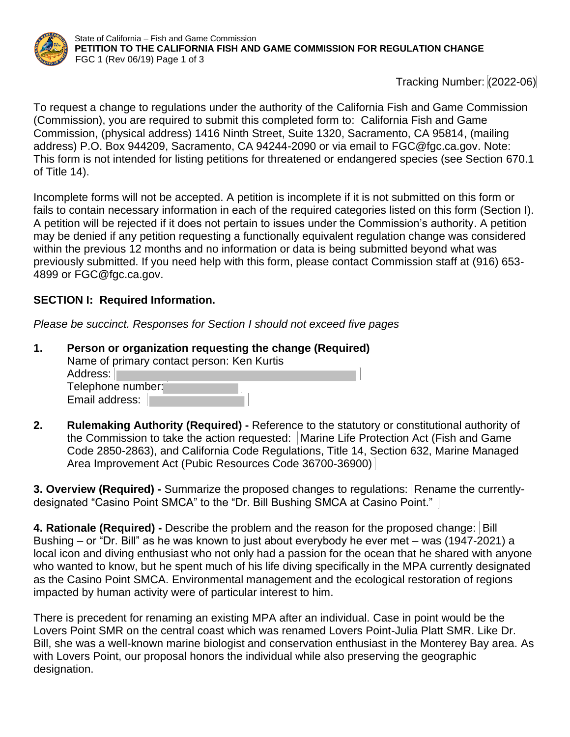

Tracking Number: (2022-06)

To request a change to regulations under the authority of the California Fish and Game Commission (Commission), you are required to submit this completed form to: California Fish and Game Commission, (physical address) 1416 Ninth Street, Suite 1320, Sacramento, CA 95814, (mailing address) P.O. Box 944209, Sacramento, CA 94244-2090 or via email to FGC@fgc.ca.gov. Note: This form is not intended for listing petitions for threatened or endangered species (see Section 670.1 of Title 14).

Incomplete forms will not be accepted. A petition is incomplete if it is not submitted on this form or fails to contain necessary information in each of the required categories listed on this form (Section I). A petition will be rejected if it does not pertain to issues under the Commission's authority. A petition may be denied if any petition requesting a functionally equivalent regulation change was considered within the previous 12 months and no information or data is being submitted beyond what was previously submitted. If you need help with this form, please contact Commission staff at (916) 653- 4899 or FGC@fgc.ca.gov.

## **SECTION I: Required Information.**

*Please be succinct. Responses for Section I should not exceed five pages*

| Person or organization requesting the change (Required) |
|---------------------------------------------------------|
| Name of primary contact person: Ken Kurtis              |
| Address:                                                |
| Telephone number:                                       |
| Email address:                                          |

**2. Rulemaking Authority (Required) -** Reference to the statutory or constitutional authority of the Commission to take the action requested:Marine Life Protection Act (Fish and Game Code 2850-2863), and California Code Regulations, Title 14, Section 632, Marine Managed Area Improvement Act (Pubic Resources Code 36700-36900)

**3. Overview (Required) -** Summarize the proposed changes to regulations: Rename the currentlydesignated "Casino Point SMCA" to the "Dr. Bill Bushing SMCA at Casino Point."

**4. Rationale (Required) -** Describe the problem and the reason for the proposed change: Bill Bushing – or "Dr. Bill" as he was known to just about everybody he ever met – was (1947-2021) a local icon and diving enthusiast who not only had a passion for the ocean that he shared with anyone who wanted to know, but he spent much of his life diving specifically in the MPA currently designated as the Casino Point SMCA. Environmental management and the ecological restoration of regions impacted by human activity were of particular interest to him.

There is precedent for renaming an existing MPA after an individual. Case in point would be the Lovers Point SMR on the central coast which was renamed Lovers Point-Julia Platt SMR. Like Dr. Bill, she was a well-known marine biologist and conservation enthusiast in the Monterey Bay area. As with Lovers Point, our proposal honors the individual while also preserving the geographic designation.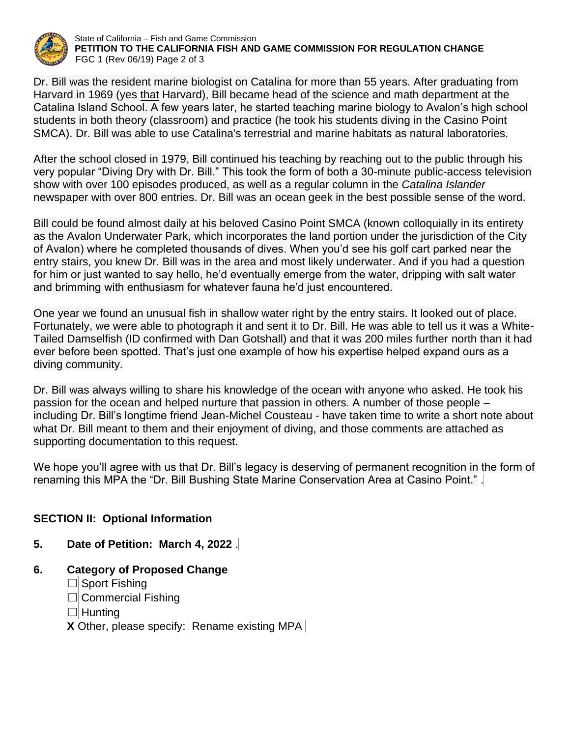

State of California – Fish and Game Commission **PETITION TO THE CALIFORNIA FISH AND GAME COMMISSION FOR REGULATION CHANGE** FGC 1 (Rev 06/19) Page 2 of 3

Dr. Bill was the resident marine biologist on Catalina for more than 55 years. After graduating from Harvard in 1969 (yes that Harvard), Bill became head of the science and math department at the Catalina Island School. A few years later, he started teaching marine biology to Avalon's high school students in both theory (classroom) and practice (he took his students diving in the Casino Point SMCA). Dr. Bill was able to use Catalina's terrestrial and marine habitats as natural laboratories.

After the school closed in 1979, Bill continued his teaching by reaching out to the public through his very popular "Diving Dry with Dr. Bill." This took the form of both a 30-minute public-access television show with over 100 episodes produced, as well as a regular column in the *Catalina Islander* newspaper with over 800 entries. Dr. Bill was an ocean geek in the best possible sense of the word.

Bill could be found almost daily at his beloved Casino Point SMCA (known colloquially in its entirety as the Avalon Underwater Park, which incorporates the land portion under the jurisdiction of the City of Avalon) where he completed thousands of dives. When you'd see his golf cart parked near the entry stairs, you knew Dr. Bill was in the area and most likely underwater. And if you had a question for him or just wanted to say hello, he'd eventually emerge from the water, dripping with salt water and brimming with enthusiasm for whatever fauna he'd just encountered.

One year we found an unusual fish in shallow water right by the entry stairs. It looked out of place. Fortunately, we were able to photograph it and sent it to Dr. Bill. He was able to tell us it was a White-Tailed Damselfish (ID confirmed with Dan Gotshall) and that it was 200 miles further north than it had ever before been spotted. That's just one example of how his expertise helped expand ours as a diving community.

Dr. Bill was always willing to share his knowledge of the ocean with anyone who asked. He took his passion for the ocean and helped nurture that passion in others. A number of those people – including Dr. Bill's longtime friend Jean-Michel Cousteau - have taken time to write a short note about what Dr. Bill meant to them and their enjoyment of diving, and those comments are attached as supporting documentation to this request.

We hope you'll agree with us that Dr. Bill's legacy is deserving of permanent recognition in the form of renaming this MPA the "Dr. Bill Bushing State Marine Conservation Area at Casino Point." .

## **SECTION II: Optional Information**

## **5. Date of Petition: March 4, 2022** .

## **6. Category of Proposed Change**

- ☐ Sport Fishing
- ☐ Commercial Fishing
- ☐ Hunting

**X** Other, please specify: Rename existing MPA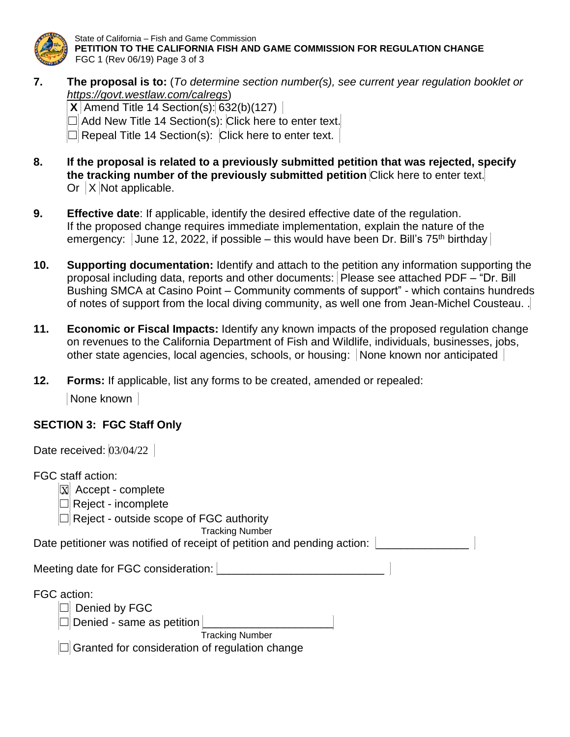

State of California – Fish and Game Commission **PETITION TO THE CALIFORNIA FISH AND GAME COMMISSION FOR REGULATION CHANGE** FGC 1 (Rev 06/19) Page 3 of 3

**7. The proposal is to:** (*To determine section number(s), see current year regulation booklet or <https://govt.westlaw.com/calregs>*)

**X** Amend Title 14 Section(s):  $632(b)(127)$ 

☐ Add New Title 14 Section(s): Click here to enter text.

 $\Box$  Repeal Title 14 Section(s): Click here to enter text.

- **8. If the proposal is related to a previously submitted petition that was rejected, specify the tracking number of the previously submitted petition** Click here to enter text. Or  $|X|$  Not applicable.
- **9. Effective date**: If applicable, identify the desired effective date of the regulation. If the proposed change requires immediate implementation, explain the nature of the emergency: June 12, 2022, if possible – this would have been Dr. Bill's  $75<sup>th</sup>$  birthday
- **10. Supporting documentation:** Identify and attach to the petition any information supporting the proposal including data, reports and other documents: Please see attached PDF – "Dr. Bill Bushing SMCA at Casino Point – Community comments of support" - which contains hundreds of notes of support from the local diving community, as well one from Jean-Michel Cousteau. .
- **11. Economic or Fiscal Impacts:** Identify any known impacts of the proposed regulation change on revenues to the California Department of Fish and Wildlife, individuals, businesses, jobs, other state agencies, local agencies, schools, or housing: None known nor anticipated
- **12. Forms:** If applicable, list any forms to be created, amended or repealed:

None known

## **SECTION 3: FGC Staff Only**

| Date received: $03/04/22$                                                                                                                         |  |
|---------------------------------------------------------------------------------------------------------------------------------------------------|--|
| FGC staff action:<br>$\mathbf X$<br>Accept - complete<br>Reject - incomplete<br>Reject - outside scope of FGC authority<br><b>Tracking Number</b> |  |
| Date petitioner was notified of receipt of petition and pending action:                                                                           |  |
| Meeting date for FGC consideration:                                                                                                               |  |
| FGC action:<br>Denied by FGC<br>Denied - same as petition<br><b>Tracking Number</b><br>Granted for consideration of regulation change             |  |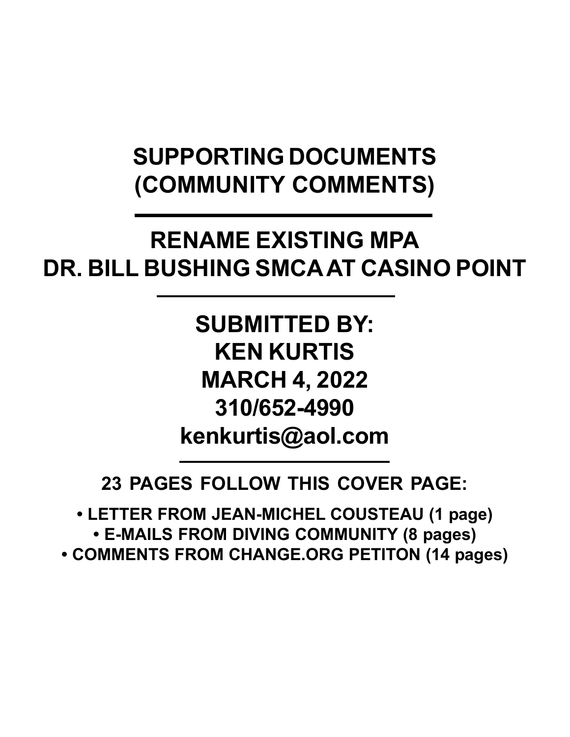# **SUPPORTING DOCUMENTS (COMMUNITY COMMENTS)**

# **RENAME EXISTING MPA DR. BILL BUSHING SMCA AT CASINO POINT**

**SUBMITTED BY: KEN KURTIS MARCH 4, 2022 310/652-4990 kenkurtis@aol.com**

**23 PAGES FOLLOW THIS COVER PAGE:**

**• LETTER FROM JEAN-MICHEL COUSTEAU (1 page) • E-MAILS FROM DIVING COMMUNITY (8 pages) • COMMENTS FROM CHANGE.ORG PETITON (14 pages)**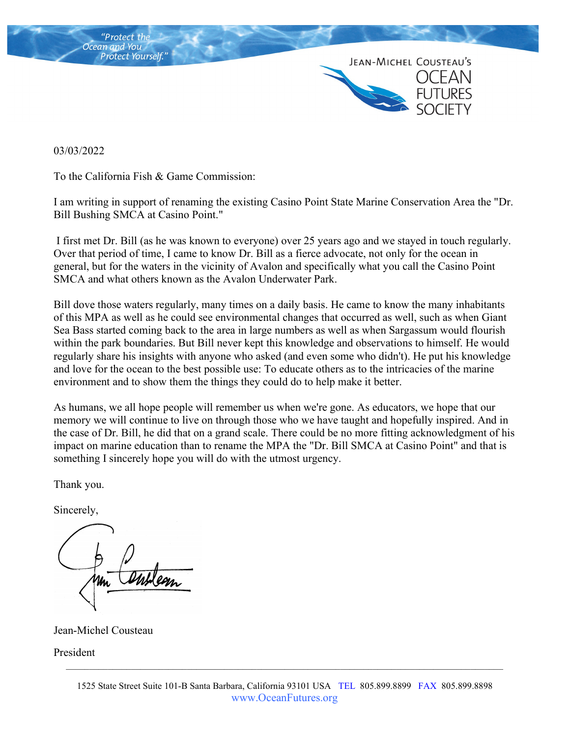

03/03/2022

To the California Fish & Game Commission:

I am writing in support of renaming the existing Casino Point State Marine Conservation Area the "Dr. Bill Bushing SMCA at Casino Point."

 I first met Dr. Bill (as he was known to everyone) over 25 years ago and we stayed in touch regularly. Over that period of time, I came to know Dr. Bill as a fierce advocate, not only for the ocean in general, but for the waters in the vicinity of Avalon and specifically what you call the Casino Point SMCA and what others known as the Avalon Underwater Park.

Bill dove those waters regularly, many times on a daily basis. He came to know the many inhabitants of this MPA as well as he could see environmental changes that occurred as well, such as when Giant Sea Bass started coming back to the area in large numbers as well as when Sargassum would flourish within the park boundaries. But Bill never kept this knowledge and observations to himself. He would regularly share his insights with anyone who asked (and even some who didn't). He put his knowledge and love for the ocean to the best possible use: To educate others as to the intricacies of the marine environment and to show them the things they could do to help make it better.

As humans, we all hope people will remember us when we're gone. As educators, we hope that our memory we will continue to live on through those who we have taught and hopefully inspired. And in the case of Dr. Bill, he did that on a grand scale. There could be no more fitting acknowledgment of his impact on marine education than to rename the MPA the "Dr. Bill SMCA at Casino Point" and that is something I sincerely hope you will do with the utmost urgency.

Thank you.

Sincerely,

Jean-Michel Cousteau

President

 $\mathcal{L}_\mathcal{L} = \{ \mathcal{L}_\mathcal{L} = \{ \mathcal{L}_\mathcal{L} = \{ \mathcal{L}_\mathcal{L} = \{ \mathcal{L}_\mathcal{L} = \{ \mathcal{L}_\mathcal{L} = \{ \mathcal{L}_\mathcal{L} = \{ \mathcal{L}_\mathcal{L} = \{ \mathcal{L}_\mathcal{L} = \{ \mathcal{L}_\mathcal{L} = \{ \mathcal{L}_\mathcal{L} = \{ \mathcal{L}_\mathcal{L} = \{ \mathcal{L}_\mathcal{L} = \{ \mathcal{L}_\mathcal{L} = \{ \mathcal{L}_\mathcal{$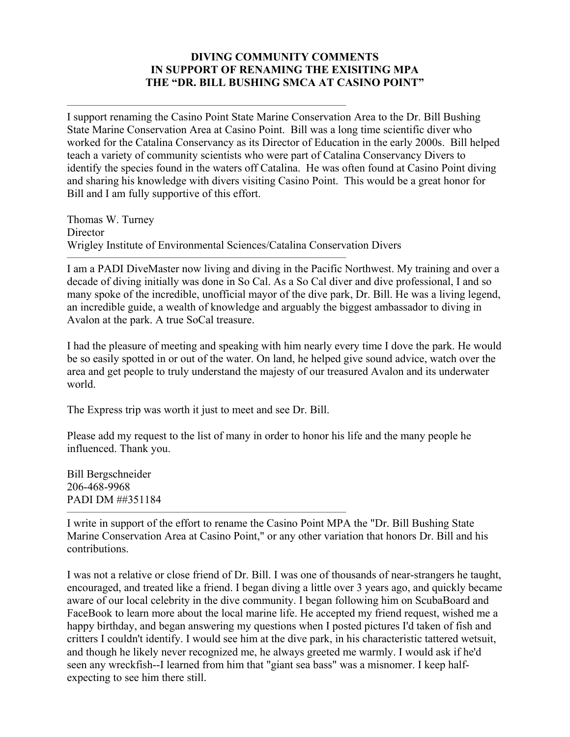### **DIVING COMMUNITY COMMENTS IN SUPPORT OF RENAMING THE EXISITING MPA THE "DR. BILL BUSHING SMCA AT CASINO POINT"**

I support renaming the Casino Point State Marine Conservation Area to the Dr. Bill Bushing State Marine Conservation Area at Casino Point. Bill was a long time scientific diver who worked for the Catalina Conservancy as its Director of Education in the early 2000s. Bill helped teach a variety of community scientists who were part of Catalina Conservancy Divers to identify the species found in the waters off Catalina. He was often found at Casino Point diving and sharing his knowledge with divers visiting Casino Point. This would be a great honor for Bill and I am fully supportive of this effort.

Thomas W. Turney **Director** Wrigley Institute of Environmental Sciences/Catalina Conservation Divers

——————————————————————————————

I am a PADI DiveMaster now living and diving in the Pacific Northwest. My training and over a decade of diving initially was done in So Cal. As a So Cal diver and dive professional, I and so many spoke of the incredible, unofficial mayor of the dive park, Dr. Bill. He was a living legend, an incredible guide, a wealth of knowledge and arguably the biggest ambassador to diving in Avalon at the park. A true SoCal treasure.

I had the pleasure of meeting and speaking with him nearly every time I dove the park. He would be so easily spotted in or out of the water. On land, he helped give sound advice, watch over the area and get people to truly understand the majesty of our treasured Avalon and its underwater world.

The Express trip was worth it just to meet and see Dr. Bill.

Please add my request to the list of many in order to honor his life and the many people he influenced. Thank you.

Bill Bergschneider 206-468-9968 PADI DM ##351184

—————————————————————————————— I write in support of the effort to rename the Casino Point MPA the "Dr. Bill Bushing State Marine Conservation Area at Casino Point," or any other variation that honors Dr. Bill and his contributions.

I was not a relative or close friend of Dr. Bill. I was one of thousands of near-strangers he taught, encouraged, and treated like a friend. I began diving a little over 3 years ago, and quickly became aware of our local celebrity in the dive community. I began following him on ScubaBoard and FaceBook to learn more about the local marine life. He accepted my friend request, wished me a happy birthday, and began answering my questions when I posted pictures I'd taken of fish and critters I couldn't identify. I would see him at the dive park, in his characteristic tattered wetsuit, and though he likely never recognized me, he always greeted me warmly. I would ask if he'd seen any wreckfish--I learned from him that "giant sea bass" was a misnomer. I keep halfexpecting to see him there still.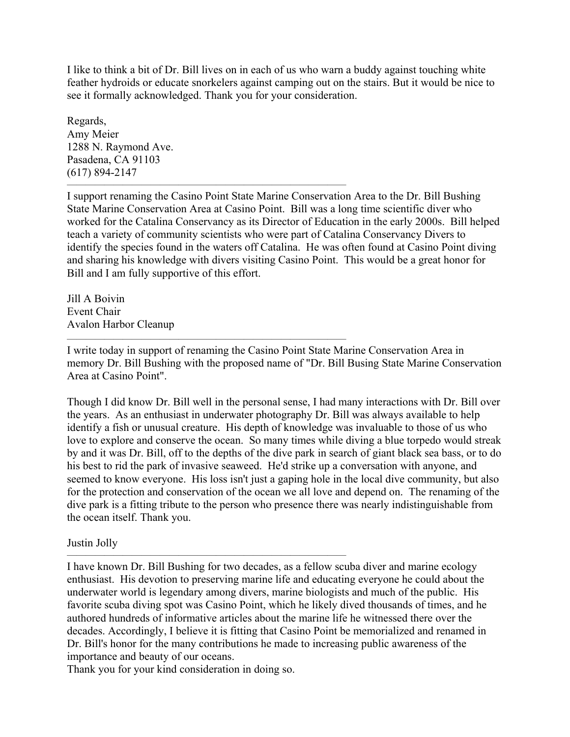I like to think a bit of Dr. Bill lives on in each of us who warn a buddy against touching white feather hydroids or educate snorkelers against camping out on the stairs. But it would be nice to see it formally acknowledged. Thank you for your consideration.

Regards, Amy Meier 1288 N. Raymond Ave. Pasadena, CA 91103 (617) 894-2147

I support renaming the Casino Point State Marine Conservation Area to the Dr. Bill Bushing State Marine Conservation Area at Casino Point. Bill was a long time scientific diver who worked for the Catalina Conservancy as its Director of Education in the early 2000s. Bill helped teach a variety of community scientists who were part of Catalina Conservancy Divers to identify the species found in the waters off Catalina. He was often found at Casino Point diving and sharing his knowledge with divers visiting Casino Point. This would be a great honor for Bill and I am fully supportive of this effort.

——————————————————————————————

——————————————————————————————

——————————————————————————————

Jill A Boivin Event Chair Avalon Harbor Cleanup

I write today in support of renaming the Casino Point State Marine Conservation Area in memory Dr. Bill Bushing with the proposed name of "Dr. Bill Busing State Marine Conservation Area at Casino Point".

Though I did know Dr. Bill well in the personal sense, I had many interactions with Dr. Bill over the years. As an enthusiast in underwater photography Dr. Bill was always available to help identify a fish or unusual creature. His depth of knowledge was invaluable to those of us who love to explore and conserve the ocean. So many times while diving a blue torpedo would streak by and it was Dr. Bill, off to the depths of the dive park in search of giant black sea bass, or to do his best to rid the park of invasive seaweed. He'd strike up a conversation with anyone, and seemed to know everyone. His loss isn't just a gaping hole in the local dive community, but also for the protection and conservation of the ocean we all love and depend on. The renaming of the dive park is a fitting tribute to the person who presence there was nearly indistinguishable from the ocean itself. Thank you.

### Justin Jolly

I have known Dr. Bill Bushing for two decades, as a fellow scuba diver and marine ecology enthusiast. His devotion to preserving marine life and educating everyone he could about the underwater world is legendary among divers, marine biologists and much of the public. His favorite scuba diving spot was Casino Point, which he likely dived thousands of times, and he authored hundreds of informative articles about the marine life he witnessed there over the decades. Accordingly, I believe it is fitting that Casino Point be memorialized and renamed in Dr. Bill's honor for the many contributions he made to increasing public awareness of the importance and beauty of our oceans.

Thank you for your kind consideration in doing so.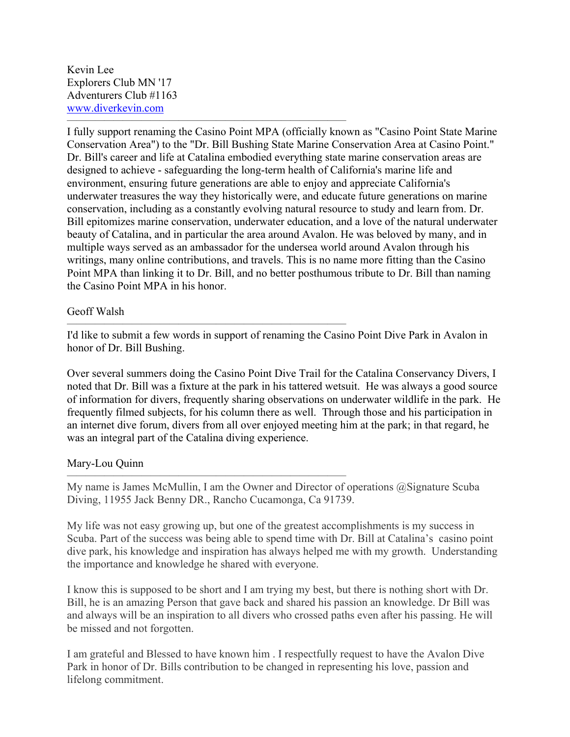Kevin Lee Explorers Club MN '17 Adventurers Club #1163 www.diverkevin.com

——————————————————————————————

 $\overline{\phantom{a}}$  , and the contract of the contract of the contract of the contract of the contract of the contract of the contract of the contract of the contract of the contract of the contract of the contract of the contrac

——————————————————————————————

I fully support renaming the Casino Point MPA (officially known as "Casino Point State Marine Conservation Area") to the "Dr. Bill Bushing State Marine Conservation Area at Casino Point." Dr. Bill's career and life at Catalina embodied everything state marine conservation areas are designed to achieve - safeguarding the long-term health of California's marine life and environment, ensuring future generations are able to enjoy and appreciate California's underwater treasures the way they historically were, and educate future generations on marine conservation, including as a constantly evolving natural resource to study and learn from. Dr. Bill epitomizes marine conservation, underwater education, and a love of the natural underwater beauty of Catalina, and in particular the area around Avalon. He was beloved by many, and in multiple ways served as an ambassador for the undersea world around Avalon through his writings, many online contributions, and travels. This is no name more fitting than the Casino Point MPA than linking it to Dr. Bill, and no better posthumous tribute to Dr. Bill than naming the Casino Point MPA in his honor.

#### Geoff Walsh

I'd like to submit a few words in support of renaming the Casino Point Dive Park in Avalon in honor of Dr. Bill Bushing.

Over several summers doing the Casino Point Dive Trail for the Catalina Conservancy Divers, I noted that Dr. Bill was a fixture at the park in his tattered wetsuit. He was always a good source of information for divers, frequently sharing observations on underwater wildlife in the park. He frequently filmed subjects, for his column there as well. Through those and his participation in an internet dive forum, divers from all over enjoyed meeting him at the park; in that regard, he was an integral part of the Catalina diving experience.

### Mary-Lou Quinn

My name is James McMullin, I am the Owner and Director of operations @Signature Scuba Diving, 11955 Jack Benny DR., Rancho Cucamonga, Ca 91739.

My life was not easy growing up, but one of the greatest accomplishments is my success in Scuba. Part of the success was being able to spend time with Dr. Bill at Catalina's casino point dive park, his knowledge and inspiration has always helped me with my growth. Understanding the importance and knowledge he shared with everyone.

I know this is supposed to be short and I am trying my best, but there is nothing short with Dr. Bill, he is an amazing Person that gave back and shared his passion an knowledge. Dr Bill was and always will be an inspiration to all divers who crossed paths even after his passing. He will be missed and not forgotten.

I am grateful and Blessed to have known him . I respectfully request to have the Avalon Dive Park in honor of Dr. Bills contribution to be changed in representing his love, passion and lifelong commitment.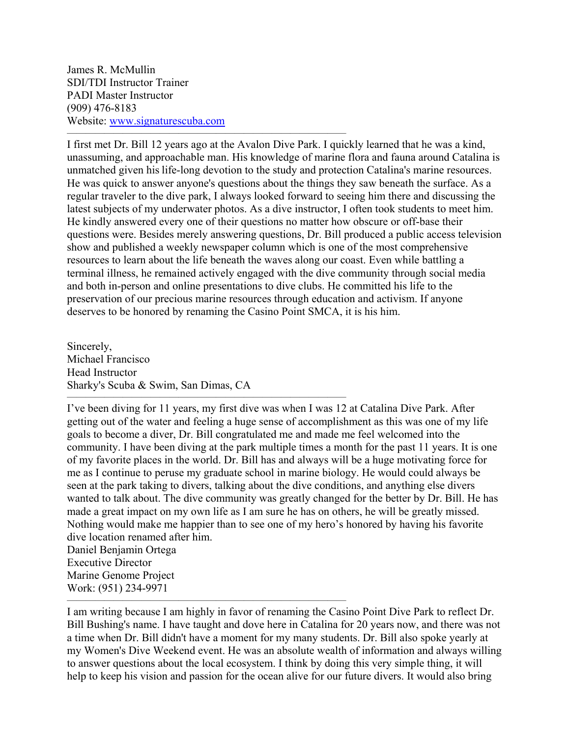James R. McMullin SDI/TDI Instructor Trainer PADI Master Instructor (909) 476-8183 Website: www.signaturescuba.com

——————————————————————————————

I first met Dr. Bill 12 years ago at the Avalon Dive Park. I quickly learned that he was a kind, unassuming, and approachable man. His knowledge of marine flora and fauna around Catalina is unmatched given his life-long devotion to the study and protection Catalina's marine resources. He was quick to answer anyone's questions about the things they saw beneath the surface. As a regular traveler to the dive park, I always looked forward to seeing him there and discussing the latest subjects of my underwater photos. As a dive instructor, I often took students to meet him. He kindly answered every one of their questions no matter how obscure or off-base their questions were. Besides merely answering questions, Dr. Bill produced a public access television show and published a weekly newspaper column which is one of the most comprehensive resources to learn about the life beneath the waves along our coast. Even while battling a terminal illness, he remained actively engaged with the dive community through social media and both in-person and online presentations to dive clubs. He committed his life to the preservation of our precious marine resources through education and activism. If anyone deserves to be honored by renaming the Casino Point SMCA, it is his him.

Sincerely, Michael Francisco Head Instructor Sharky's Scuba & Swim, San Dimas, CA

——————————————————————————————

 $\overline{\phantom{a}}$  , and the contract of the contract of the contract of the contract of the contract of the contract of the contract of the contract of the contract of the contract of the contract of the contract of the contrac

I've been diving for 11 years, my first dive was when I was 12 at Catalina Dive Park. After getting out of the water and feeling a huge sense of accomplishment as this was one of my life goals to become a diver, Dr. Bill congratulated me and made me feel welcomed into the community. I have been diving at the park multiple times a month for the past 11 years. It is one of my favorite places in the world. Dr. Bill has and always will be a huge motivating force for me as I continue to peruse my graduate school in marine biology. He would could always be seen at the park taking to divers, talking about the dive conditions, and anything else divers wanted to talk about. The dive community was greatly changed for the better by Dr. Bill. He has made a great impact on my own life as I am sure he has on others, he will be greatly missed. Nothing would make me happier than to see one of my hero's honored by having his favorite dive location renamed after him. Daniel Benjamin Ortega

Executive Director Marine Genome Project Work: (951) 234-9971

I am writing because I am highly in favor of renaming the Casino Point Dive Park to reflect Dr. Bill Bushing's name. I have taught and dove here in Catalina for 20 years now, and there was not a time when Dr. Bill didn't have a moment for my many students. Dr. Bill also spoke yearly at my Women's Dive Weekend event. He was an absolute wealth of information and always willing to answer questions about the local ecosystem. I think by doing this very simple thing, it will help to keep his vision and passion for the ocean alive for our future divers. It would also bring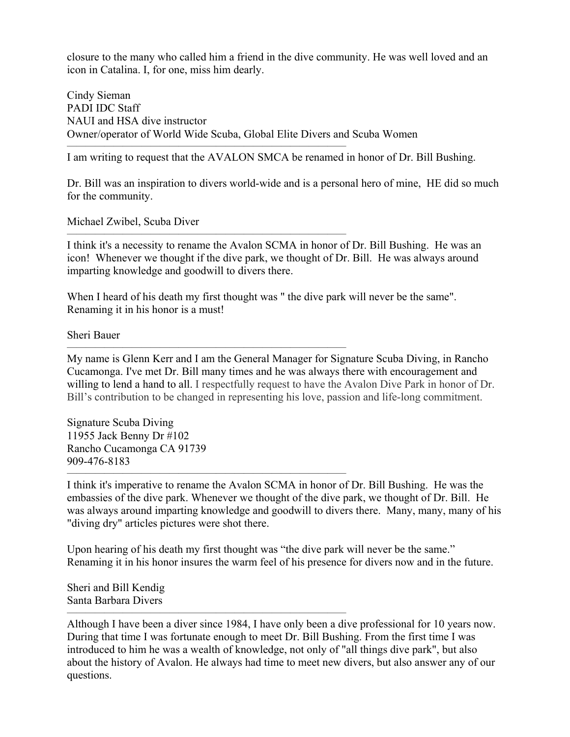closure to the many who called him a friend in the dive community. He was well loved and an icon in Catalina. I, for one, miss him dearly.

Cindy Sieman PADI IDC Staff NAUI and HSA dive instructor Owner/operator of World Wide Scuba, Global Elite Divers and Scuba Women

 $\overline{\phantom{a}}$  , and the contract of the contract of the contract of the contract of the contract of the contract of the contract of the contract of the contract of the contract of the contract of the contract of the contrac

——————————————————————————————

 $\overline{\phantom{a}}$  , and the contract of the contract of the contract of the contract of the contract of the contract of the contract of the contract of the contract of the contract of the contract of the contract of the contrac

 $\overline{\phantom{a}}$  , and the contract of the contract of the contract of the contract of the contract of the contract of the contract of the contract of the contract of the contract of the contract of the contract of the contrac

I am writing to request that the AVALON SMCA be renamed in honor of Dr. Bill Bushing.

Dr. Bill was an inspiration to divers world-wide and is a personal hero of mine, HE did so much for the community.

Michael Zwibel, Scuba Diver

I think it's a necessity to rename the Avalon SCMA in honor of Dr. Bill Bushing. He was an icon! Whenever we thought if the dive park, we thought of Dr. Bill. He was always around imparting knowledge and goodwill to divers there.

When I heard of his death my first thought was " the dive park will never be the same". Renaming it in his honor is a must!

Sheri Bauer

My name is Glenn Kerr and I am the General Manager for Signature Scuba Diving, in Rancho Cucamonga. I've met Dr. Bill many times and he was always there with encouragement and willing to lend a hand to all. I respectfully request to have the Avalon Dive Park in honor of Dr. Bill's contribution to be changed in representing his love, passion and life-long commitment.

Signature Scuba Diving 11955 Jack Benny Dr #102 Rancho Cucamonga CA 91739 909-476-8183

I think it's imperative to rename the Avalon SCMA in honor of Dr. Bill Bushing. He was the embassies of the dive park. Whenever we thought of the dive park, we thought of Dr. Bill. He was always around imparting knowledge and goodwill to divers there. Many, many, many of his "diving dry" articles pictures were shot there.

Upon hearing of his death my first thought was "the dive park will never be the same." Renaming it in his honor insures the warm feel of his presence for divers now and in the future.

Sheri and Bill Kendig Santa Barbara Divers

Although I have been a diver since 1984, I have only been a dive professional for 10 years now. During that time I was fortunate enough to meet Dr. Bill Bushing. From the first time I was introduced to him he was a wealth of knowledge, not only of "all things dive park", but also about the history of Avalon. He always had time to meet new divers, but also answer any of our questions.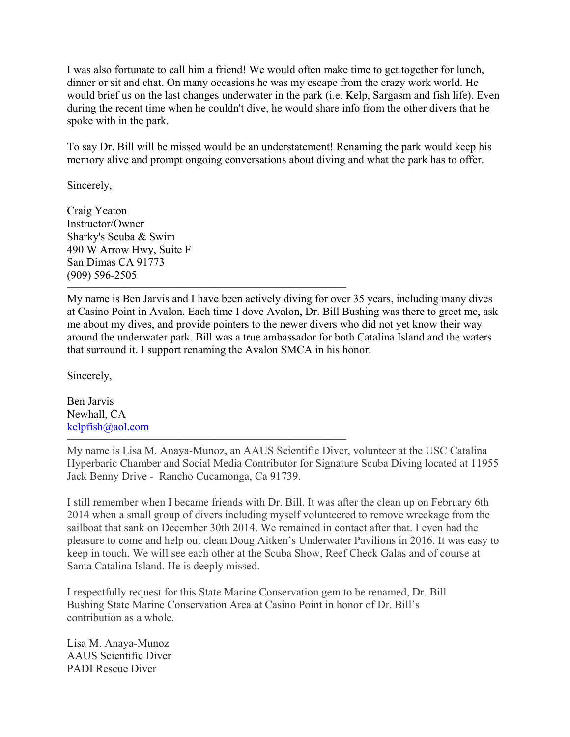I was also fortunate to call him a friend! We would often make time to get together for lunch, dinner or sit and chat. On many occasions he was my escape from the crazy work world. He would brief us on the last changes underwater in the park (i.e. Kelp, Sargasm and fish life). Even during the recent time when he couldn't dive, he would share info from the other divers that he spoke with in the park.

To say Dr. Bill will be missed would be an understatement! Renaming the park would keep his memory alive and prompt ongoing conversations about diving and what the park has to offer.

Sincerely,

Craig Yeaton Instructor/Owner Sharky's Scuba & Swim 490 W Arrow Hwy, Suite F San Dimas CA 91773 (909) 596-2505

My name is Ben Jarvis and I have been actively diving for over 35 years, including many dives at Casino Point in Avalon. Each time I dove Avalon, Dr. Bill Bushing was there to greet me, ask me about my dives, and provide pointers to the newer divers who did not yet know their way around the underwater park. Bill was a true ambassador for both Catalina Island and the waters that surround it. I support renaming the Avalon SMCA in his honor.

 $\overline{\phantom{a}}$  , and the contract of the contract of the contract of the contract of the contract of the contract of the contract of the contract of the contract of the contract of the contract of the contract of the contrac

 $\overline{\phantom{a}}$  , and the contract of the contract of the contract of the contract of the contract of the contract of the contract of the contract of the contract of the contract of the contract of the contract of the contrac

Sincerely,

Ben Jarvis Newhall, CA kelpfish@aol.com

My name is Lisa M. Anaya-Munoz, an AAUS Scientific Diver, volunteer at the USC Catalina Hyperbaric Chamber and Social Media Contributor for Signature Scuba Diving located at 11955 Jack Benny Drive - Rancho Cucamonga, Ca 91739.

I still remember when I became friends with Dr. Bill. It was after the clean up on February 6th 2014 when a small group of divers including myself volunteered to remove wreckage from the sailboat that sank on December 30th 2014. We remained in contact after that. I even had the pleasure to come and help out clean Doug Aitken's Underwater Pavilions in 2016. It was easy to keep in touch. We will see each other at the Scuba Show, Reef Check Galas and of course at Santa Catalina Island. He is deeply missed.

I respectfully request for this State Marine Conservation gem to be renamed, Dr. Bill Bushing State Marine Conservation Area at Casino Point in honor of Dr. Bill's contribution as a whole.

Lisa M. Anaya-Munoz AAUS Scientific Diver PADI Rescue Diver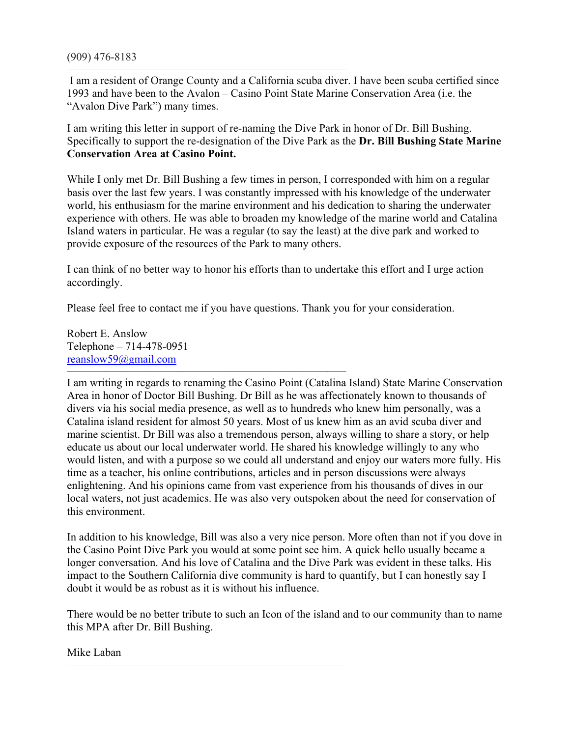—————————————————————————————— I am a resident of Orange County and a California scuba diver. I have been scuba certified since 1993 and have been to the Avalon – Casino Point State Marine Conservation Area (i.e. the "Avalon Dive Park") many times.

I am writing this letter in support of re-naming the Dive Park in honor of Dr. Bill Bushing. Specifically to support the re-designation of the Dive Park as the **Dr. Bill Bushing State Marine Conservation Area at Casino Point.** 

While I only met Dr. Bill Bushing a few times in person, I corresponded with him on a regular basis over the last few years. I was constantly impressed with his knowledge of the underwater world, his enthusiasm for the marine environment and his dedication to sharing the underwater experience with others. He was able to broaden my knowledge of the marine world and Catalina Island waters in particular. He was a regular (to say the least) at the dive park and worked to provide exposure of the resources of the Park to many others.

I can think of no better way to honor his efforts than to undertake this effort and I urge action accordingly.

Please feel free to contact me if you have questions. Thank you for your consideration.

Robert E. Anslow Telephone – 714-478-0951  $reanslow59@gmail.com$ 

I am writing in regards to renaming the Casino Point (Catalina Island) State Marine Conservation Area in honor of Doctor Bill Bushing. Dr Bill as he was affectionately known to thousands of divers via his social media presence, as well as to hundreds who knew him personally, was a Catalina island resident for almost 50 years. Most of us knew him as an avid scuba diver and marine scientist. Dr Bill was also a tremendous person, always willing to share a story, or help educate us about our local underwater world. He shared his knowledge willingly to any who would listen, and with a purpose so we could all understand and enjoy our waters more fully. His time as a teacher, his online contributions, articles and in person discussions were always enlightening. And his opinions came from vast experience from his thousands of dives in our local waters, not just academics. He was also very outspoken about the need for conservation of this environment.

In addition to his knowledge, Bill was also a very nice person. More often than not if you dove in the Casino Point Dive Park you would at some point see him. A quick hello usually became a longer conversation. And his love of Catalina and the Dive Park was evident in these talks. His impact to the Southern California dive community is hard to quantify, but I can honestly say I doubt it would be as robust as it is without his influence.

There would be no better tribute to such an Icon of the island and to our community than to name this MPA after Dr. Bill Bushing.

 $\overline{\phantom{a}}$  , and the contract of the contract of the contract of the contract of the contract of the contract of the contract of the contract of the contract of the contract of the contract of the contract of the contrac

Mike Laban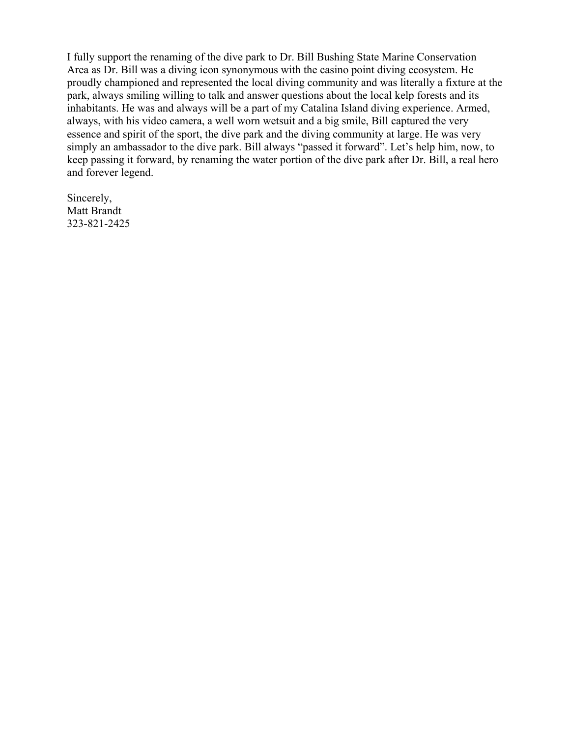I fully support the renaming of the dive park to Dr. Bill Bushing State Marine Conservation Area as Dr. Bill was a diving icon synonymous with the casino point diving ecosystem. He proudly championed and represented the local diving community and was literally a fixture at the park, always smiling willing to talk and answer questions about the local kelp forests and its inhabitants. He was and always will be a part of my Catalina Island diving experience. Armed, always, with his video camera, a well worn wetsuit and a big smile, Bill captured the very essence and spirit of the sport, the dive park and the diving community at large. He was very simply an ambassador to the dive park. Bill always "passed it forward". Let's help him, now, to keep passing it forward, by renaming the water portion of the dive park after Dr. Bill, a real hero and forever legend.

Sincerely, Matt Brandt 323-821-2425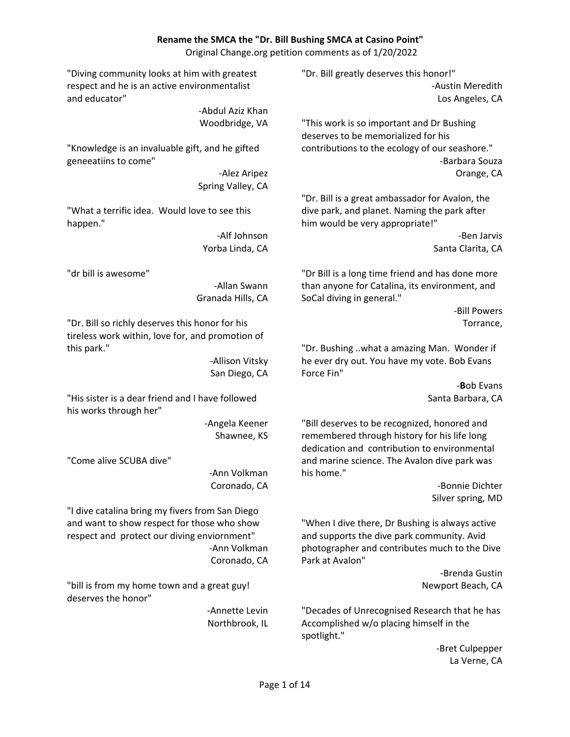#### **Rename the SMCA the "Dr. Bill Bushing SMCA at Casino Point"**

Original Change.org petition comments as of 1/20/2022

"Diving community looks at him with greatest respect and he is an active environmentalist and educator"

> ‐Abdul Aziz Khan Woodbridge, VA

"Knowledge is an invaluable gift, and he gifted geneeatiins to come"

> ‐Alez Aripez Spring Valley, CA

"What a terrific idea. Would love to see this happen."

> ‐Alf Johnson Yorba Linda, CA

"dr bill is awesome"

‐Allan Swann Granada Hills, CA

"Dr. Bill so richly deserves this honor for his tireless work within, love for, and promotion of this park."

> ‐Allison Vitsky San Diego, CA

"His sister is a dear friend and I have followed his works through her"

> ‐Angela Keener Shawnee, KS

"Come alive SCUBA dive"

‐Ann Volkman Coronado, CA

"I dive catalina bring my fivers from San Diego and want to show respect for those who show respect and protect our diving enviornment" ‐Ann Volkman Coronado, CA

"bill is from my home town and a great guy! deserves the honor"

> ‐Annette Levin Northbrook, IL

"Dr. Bill greatly deserves this honor!" ‐Austin Meredith Los Angeles, CA

"This work is so important and Dr Bushing deserves to be memorialized for his contributions to the ecology of our seashore." ‐Barbara Souza Orange, CA

"Dr. Bill is a great ambassador for Avalon, the dive park, and planet. Naming the park after him would be very appropriate!"

> ‐Ben Jarvis Santa Clarita, CA

"Dr Bill is a long time friend and has done more than anyone for Catalina, its environment, and SoCal diving in general."

> ‐Bill Powers Torrance,

"Dr. Bushing ..what a amazing Man. Wonder if he ever dry out. You have my vote. Bob Evans Force Fin"

> ‐**B**ob Evans Santa Barbara, CA

"Bill deserves to be recognized, honored and remembered through history for his life long dedication and contribution to environmental and marine science. The Avalon dive park was his home."

> ‐Bonnie Dichter Silver spring, MD

"When I dive there, Dr Bushing is always active and supports the dive park community. Avid photographer and contributes much to the Dive Park at Avalon"

> ‐Brenda Gustin Newport Beach, CA

"Decades of Unrecognised Research that he has Accomplished w/o placing himself in the spotlight."

> ‐Bret Culpepper La Verne, CA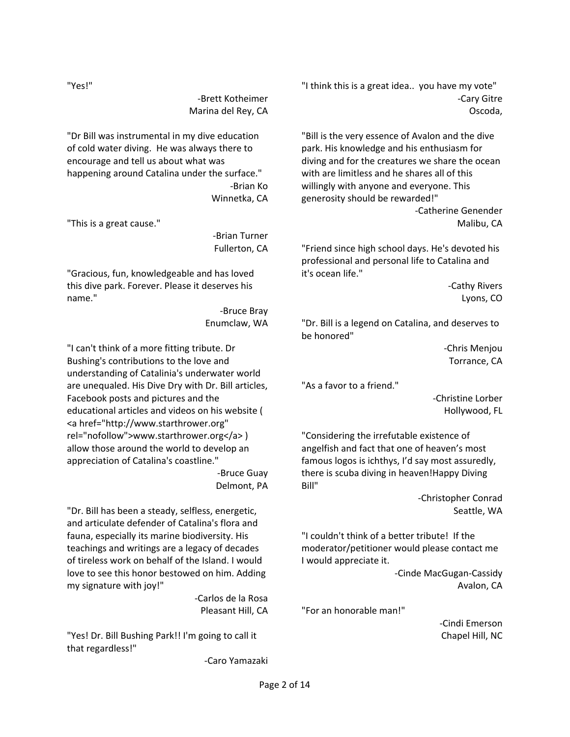"Yes!"

‐Brett Kotheimer Marina del Rey, CA

"Dr Bill was instrumental in my dive education of cold water diving. He was always there to encourage and tell us about what was happening around Catalina under the surface." ‐Brian Ko Winnetka, CA

"This is a great cause."

‐Brian Turner Fullerton, CA

"Gracious, fun, knowledgeable and has loved this dive park. Forever. Please it deserves his name."

> ‐Bruce Bray Enumclaw, WA

"I can't think of a more fitting tribute. Dr Bushing's contributions to the love and understanding of Catalinia's underwater world are unequaled. His Dive Dry with Dr. Bill articles, Facebook posts and pictures and the educational articles and videos on his website ( <a href="http://www.starthrower.org" rel="nofollow">www.starthrower.org</a> ) allow those around the world to develop an appreciation of Catalina's coastline."

‐Bruce Guay Delmont, PA

"Dr. Bill has been a steady, selfless, energetic, and articulate defender of Catalina's flora and fauna, especially its marine biodiversity. His teachings and writings are a legacy of decades of tireless work on behalf of the Island. I would love to see this honor bestowed on him. Adding my signature with joy!"

> ‐Carlos de la Rosa Pleasant Hill, CA

"Yes! Dr. Bill Bushing Park!! I'm going to call it that regardless!"

‐Caro Yamazaki

"I think this is a great idea.. you have my vote" ‐Cary Gitre Oscoda,

"Bill is the very essence of Avalon and the dive park. His knowledge and his enthusiasm for diving and for the creatures we share the ocean with are limitless and he shares all of this willingly with anyone and everyone. This generosity should be rewarded!" ‐Catherine Genender Malibu, CA

"Friend since high school days. He's devoted his professional and personal life to Catalina and it's ocean life."

> ‐Cathy Rivers Lyons, CO

"Dr. Bill is a legend on Catalina, and deserves to be honored"

> ‐Chris Menjou Torrance, CA

"As a favor to a friend."

‐Christine Lorber Hollywood, FL

"Considering the irrefutable existence of angelfish and fact that one of heaven's most famous logos is ichthys, I'd say most assuredly, there is scuba diving in heaven!Happy Diving Bill"

> ‐Christopher Conrad Seattle, WA

"I couldn't think of a better tribute! If the moderator/petitioner would please contact me I would appreciate it.

> ‐Cinde MacGugan‐Cassidy Avalon, CA

"For an honorable man!"

‐Cindi Emerson Chapel Hill, NC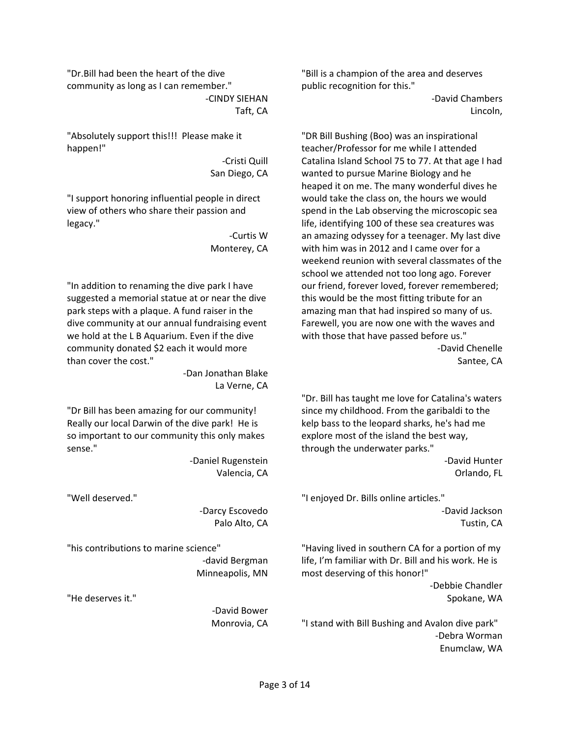"Dr.Bill had been the heart of the dive community as long as I can remember."

‐CINDY SIEHAN Taft, CA

"Absolutely support this!!! Please make it happen!"

> ‐Cristi Quill San Diego, CA

"I support honoring influential people in direct view of others who share their passion and legacy."

> ‐Curtis W Monterey, CA

"In addition to renaming the dive park I have suggested a memorial statue at or near the dive park steps with a plaque. A fund raiser in the dive community at our annual fundraising event we hold at the L B Aquarium. Even if the dive community donated \$2 each it would more than cover the cost."

> ‐Dan Jonathan Blake La Verne, CA

"Dr Bill has been amazing for our community! Really our local Darwin of the dive park! He is so important to our community this only makes sense."

> ‐Daniel Rugenstein Valencia, CA

"Well deserved."

‐Darcy Escovedo Palo Alto, CA

"his contributions to marine science"

‐david Bergman Minneapolis, MN

"He deserves it."

‐David Bower Monrovia, CA "Bill is a champion of the area and deserves public recognition for this."

> ‐David Chambers Lincoln,

"DR Bill Bushing (Boo) was an inspirational teacher/Professor for me while I attended Catalina Island School 75 to 77. At that age I had wanted to pursue Marine Biology and he heaped it on me. The many wonderful dives he would take the class on, the hours we would spend in the Lab observing the microscopic sea life, identifying 100 of these sea creatures was an amazing odyssey for a teenager. My last dive with him was in 2012 and I came over for a weekend reunion with several classmates of the school we attended not too long ago. Forever our friend, forever loved, forever remembered; this would be the most fitting tribute for an amazing man that had inspired so many of us. Farewell, you are now one with the waves and with those that have passed before us." ‐David Chenelle Santee, CA

"Dr. Bill has taught me love for Catalina's waters since my childhood. From the garibaldi to the kelp bass to the leopard sharks, he's had me explore most of the island the best way, through the underwater parks." ‐David Hunter

Orlando, FL

"I enjoyed Dr. Bills online articles." ‐David Jackson Tustin, CA

"Having lived in southern CA for a portion of my life, I'm familiar with Dr. Bill and his work. He is most deserving of this honor!" ‐Debbie Chandler

Spokane, WA

"I stand with Bill Bushing and Avalon dive park" ‐Debra Worman Enumclaw, WA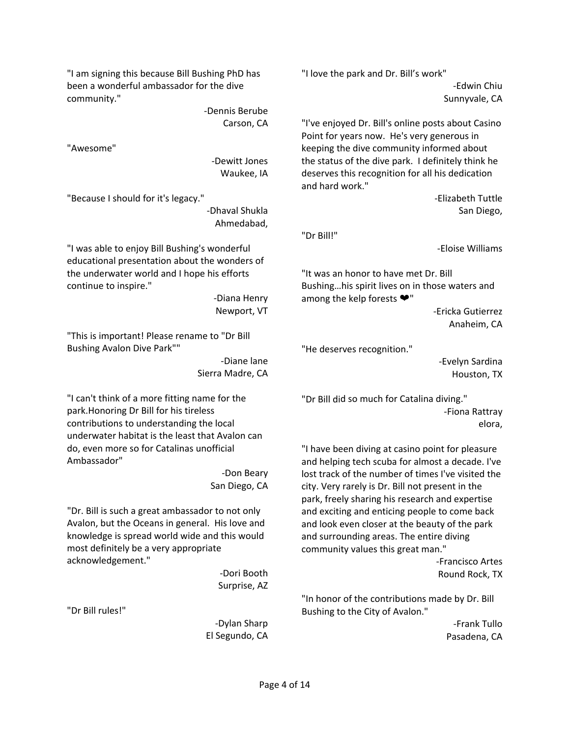"I am signing this because Bill Bushing PhD has been a wonderful ambassador for the dive community."

> ‐Dennis Berube Carson, CA

"Awesome"

‐Dewitt Jones Waukee, IA

"Because I should for it's legacy."

‐Dhaval Shukla Ahmedabad,

"I was able to enjoy Bill Bushing's wonderful educational presentation about the wonders of the underwater world and I hope his efforts continue to inspire."

> ‐Diana Henry Newport, VT

"This is important! Please rename to "Dr Bill Bushing Avalon Dive Park""

> ‐Diane lane Sierra Madre, CA

"I can't think of a more fitting name for the park.Honoring Dr Bill for his tireless contributions to understanding the local underwater habitat is the least that Avalon can do, even more so for Catalinas unofficial Ambassador"

> ‐Don Beary San Diego, CA

"Dr. Bill is such a great ambassador to not only Avalon, but the Oceans in general. His love and knowledge is spread world wide and this would most definitely be a very appropriate acknowledgement."

> ‐Dori Booth Surprise, AZ

"Dr Bill rules!"

‐Dylan Sharp El Segundo, CA "I love the park and Dr. Bill's work"

‐Edwin Chiu Sunnyvale, CA

"I've enjoyed Dr. Bill's online posts about Casino Point for years now. He's very generous in keeping the dive community informed about the status of the dive park. I definitely think he deserves this recognition for all his dedication and hard work."

> ‐Elizabeth Tuttle San Diego,

"Dr Bill!"

‐Eloise Williams

"It was an honor to have met Dr. Bill Bushing…his spirit lives on in those waters and among the kelp forests ❤"

> ‐Ericka Gutierrez Anaheim, CA

"He deserves recognition."

‐Evelyn Sardina Houston, TX

"Dr Bill did so much for Catalina diving." ‐Fiona Rattray elora,

"I have been diving at casino point for pleasure and helping tech scuba for almost a decade. I've lost track of the number of times I've visited the city. Very rarely is Dr. Bill not present in the park, freely sharing his research and expertise and exciting and enticing people to come back and look even closer at the beauty of the park and surrounding areas. The entire diving community values this great man."

> ‐Francisco Artes Round Rock, TX

"In honor of the contributions made by Dr. Bill Bushing to the City of Avalon."

> ‐Frank Tullo Pasadena, CA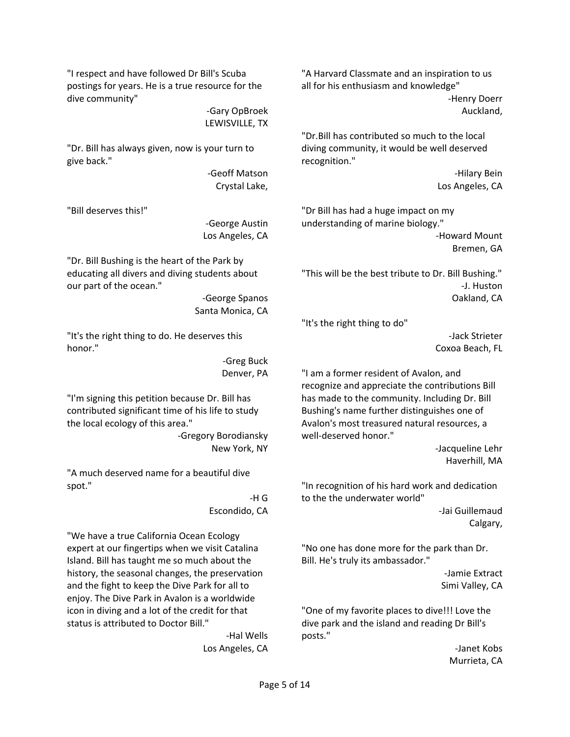"I respect and have followed Dr Bill's Scuba postings for years. He is a true resource for the dive community"

> ‐Gary OpBroek LEWISVILLE, TX

"Dr. Bill has always given, now is your turn to give back."

> ‐Geoff Matson Crystal Lake,

"Bill deserves this!"

‐George Austin Los Angeles, CA

"Dr. Bill Bushing is the heart of the Park by educating all divers and diving students about our part of the ocean."

> ‐George Spanos Santa Monica, CA

"It's the right thing to do. He deserves this honor."

> ‐Greg Buck Denver, PA

"I'm signing this petition because Dr. Bill has contributed significant time of his life to study the local ecology of this area."

> ‐Gregory Borodiansky New York, NY

"A much deserved name for a beautiful dive spot."

> ‐H G Escondido, CA

"We have a true California Ocean Ecology expert at our fingertips when we visit Catalina Island. Bill has taught me so much about the history, the seasonal changes, the preservation and the fight to keep the Dive Park for all to enjoy. The Dive Park in Avalon is a worldwide icon in diving and a lot of the credit for that status is attributed to Doctor Bill."

> ‐Hal Wells Los Angeles, CA

"A Harvard Classmate and an inspiration to us all for his enthusiasm and knowledge" ‐Henry Doerr Auckland,

"Dr.Bill has contributed so much to the local diving community, it would be well deserved recognition."

> ‐Hilary Bein Los Angeles, CA

"Dr Bill has had a huge impact on my understanding of marine biology." ‐Howard Mount Bremen, GA

"This will be the best tribute to Dr. Bill Bushing." ‐J. Huston Oakland, CA

"It's the right thing to do"

‐Jack Strieter Coxoa Beach, FL

"I am a former resident of Avalon, and recognize and appreciate the contributions Bill has made to the community. Including Dr. Bill Bushing's name further distinguishes one of Avalon's most treasured natural resources, a well‐deserved honor."

> ‐Jacqueline Lehr Haverhill, MA

"In recognition of his hard work and dedication to the the underwater world"

‐Jai Guillemaud Calgary,

"No one has done more for the park than Dr. Bill. He's truly its ambassador."

> ‐Jamie Extract Simi Valley, CA

"One of my favorite places to dive!!! Love the dive park and the island and reading Dr Bill's posts."

> ‐Janet Kobs Murrieta, CA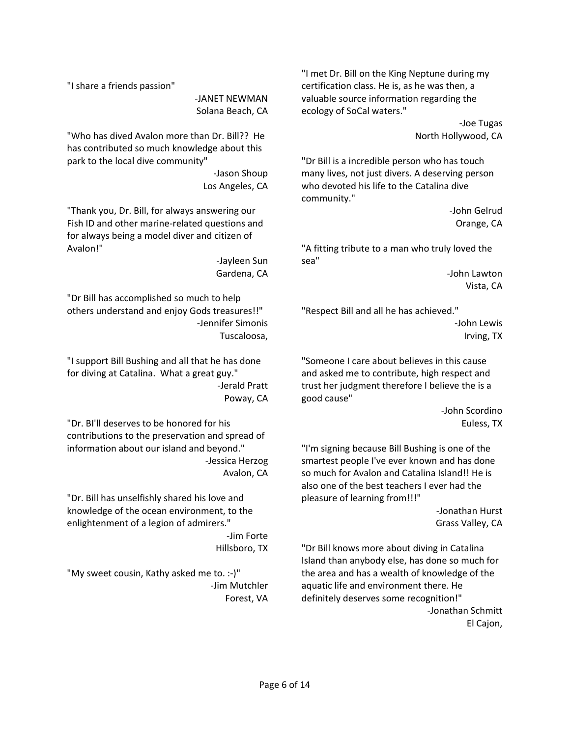"I share a friends passion"

‐JANET NEWMAN Solana Beach, CA

"Who has dived Avalon more than Dr. Bill?? He has contributed so much knowledge about this park to the local dive community"

> ‐Jason Shoup Los Angeles, CA

"Thank you, Dr. Bill, for always answering our Fish ID and other marine‐related questions and for always being a model diver and citizen of Avalon!"

> ‐Jayleen Sun Gardena, CA

"Dr Bill has accomplished so much to help others understand and enjoy Gods treasures!!" ‐Jennifer Simonis Tuscaloosa,

"I support Bill Bushing and all that he has done for diving at Catalina. What a great guy." ‐Jerald Pratt Poway, CA

"Dr. BI'll deserves to be honored for his contributions to the preservation and spread of information about our island and beyond." ‐Jessica Herzog Avalon, CA

"Dr. Bill has unselfishly shared his love and knowledge of the ocean environment, to the enlightenment of a legion of admirers."

> ‐Jim Forte Hillsboro, TX

"My sweet cousin, Kathy asked me to. :‐)" ‐Jim Mutchler Forest, VA "I met Dr. Bill on the King Neptune during my certification class. He is, as he was then, a valuable source information regarding the ecology of SoCal waters."

> ‐Joe Tugas North Hollywood, CA

"Dr Bill is a incredible person who has touch many lives, not just divers. A deserving person who devoted his life to the Catalina dive community."

> ‐John Gelrud Orange, CA

"A fitting tribute to a man who truly loved the sea"

> ‐John Lawton Vista, CA

"Respect Bill and all he has achieved." ‐John Lewis Irving, TX

"Someone I care about believes in this cause and asked me to contribute, high respect and trust her judgment therefore I believe the is a good cause"

> ‐John Scordino Euless, TX

"I'm signing because Bill Bushing is one of the smartest people I've ever known and has done so much for Avalon and Catalina Island!! He is also one of the best teachers I ever had the pleasure of learning from!!!"

‐Jonathan Hurst Grass Valley, CA

"Dr Bill knows more about diving in Catalina Island than anybody else, has done so much for the area and has a wealth of knowledge of the aquatic life and environment there. He definitely deserves some recognition!" ‐Jonathan Schmitt El Cajon,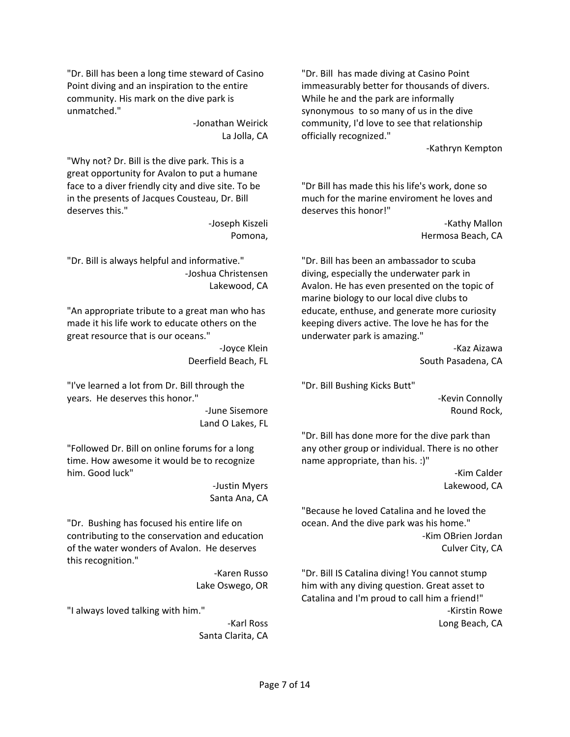"Dr. Bill has been a long time steward of Casino Point diving and an inspiration to the entire community. His mark on the dive park is unmatched."

> ‐Jonathan Weirick La Jolla, CA

"Why not? Dr. Bill is the dive park. This is a great opportunity for Avalon to put a humane face to a diver friendly city and dive site. To be in the presents of Jacques Cousteau, Dr. Bill deserves this."

> ‐Joseph Kiszeli Pomona,

"Dr. Bill is always helpful and informative." ‐Joshua Christensen Lakewood, CA

"An appropriate tribute to a great man who has made it his life work to educate others on the great resource that is our oceans."

> ‐Joyce Klein Deerfield Beach, FL

"I've learned a lot from Dr. Bill through the years. He deserves this honor."

> ‐June Sisemore Land O Lakes, FL

"Followed Dr. Bill on online forums for a long time. How awesome it would be to recognize him. Good luck"

> ‐Justin Myers Santa Ana, CA

"Dr. Bushing has focused his entire life on contributing to the conservation and education of the water wonders of Avalon. He deserves this recognition."

> ‐Karen Russo Lake Oswego, OR

"I always loved talking with him."

‐Karl Ross Santa Clarita, CA "Dr. Bill has made diving at Casino Point immeasurably better for thousands of divers. While he and the park are informally synonymous to so many of us in the dive community, I'd love to see that relationship officially recognized."

‐Kathryn Kempton

"Dr Bill has made this his life's work, done so much for the marine enviroment he loves and deserves this honor!"

> ‐Kathy Mallon Hermosa Beach, CA

"Dr. Bill has been an ambassador to scuba diving, especially the underwater park in Avalon. He has even presented on the topic of marine biology to our local dive clubs to educate, enthuse, and generate more curiosity keeping divers active. The love he has for the underwater park is amazing."

‐Kaz Aizawa South Pasadena, CA

"Dr. Bill Bushing Kicks Butt"

‐Kevin Connolly Round Rock,

"Dr. Bill has done more for the dive park than any other group or individual. There is no other name appropriate, than his. :)"

> ‐Kim Calder Lakewood, CA

"Because he loved Catalina and he loved the ocean. And the dive park was his home." ‐Kim OBrien Jordan Culver City, CA

"Dr. Bill IS Catalina diving! You cannot stump him with any diving question. Great asset to Catalina and I'm proud to call him a friend!" ‐Kirstin Rowe Long Beach, CA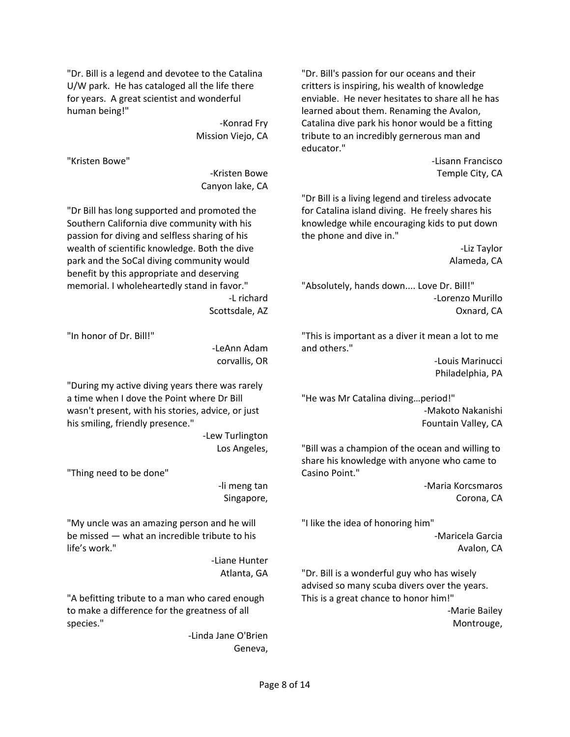"Dr. Bill is a legend and devotee to the Catalina U/W park. He has cataloged all the life there for years. A great scientist and wonderful human being!"

> ‐Konrad Fry Mission Viejo, CA

"Kristen Bowe"

‐Kristen Bowe Canyon lake, CA

"Dr Bill has long supported and promoted the Southern California dive community with his passion for diving and selfless sharing of his wealth of scientific knowledge. Both the dive park and the SoCal diving community would benefit by this appropriate and deserving memorial. I wholeheartedly stand in favor."

‐L richard Scottsdale, AZ

"In honor of Dr. Bill!"

‐LeAnn Adam corvallis, OR

"During my active diving years there was rarely a time when I dove the Point where Dr Bill wasn't present, with his stories, advice, or just his smiling, friendly presence."

> ‐Lew Turlington Los Angeles,

"Thing need to be done"

‐li meng tan Singapore,

"My uncle was an amazing person and he will be missed — what an incredible tribute to his life's work."

> ‐Liane Hunter Atlanta, GA

"A befitting tribute to a man who cared enough to make a difference for the greatness of all species."

> ‐Linda Jane O'Brien Geneva,

"Dr. Bill's passion for our oceans and their critters is inspiring, his wealth of knowledge enviable. He never hesitates to share all he has learned about them. Renaming the Avalon, Catalina dive park his honor would be a fitting tribute to an incredibly gernerous man and educator."

> ‐Lisann Francisco Temple City, CA

"Dr Bill is a living legend and tireless advocate for Catalina island diving. He freely shares his knowledge while encouraging kids to put down the phone and dive in."

> ‐Liz Taylor Alameda, CA

"Absolutely, hands down.... Love Dr. Bill!" ‐Lorenzo Murillo Oxnard, CA

"This is important as a diver it mean a lot to me and others."

> ‐Louis Marinucci Philadelphia, PA

"He was Mr Catalina diving…period!" ‐Makoto Nakanishi Fountain Valley, CA

"Bill was a champion of the ocean and willing to share his knowledge with anyone who came to Casino Point."

> ‐Maria Korcsmaros Corona, CA

"I like the idea of honoring him" ‐Maricela Garcia Avalon, CA

"Dr. Bill is a wonderful guy who has wisely advised so many scuba divers over the years. This is a great chance to honor him!" ‐Marie Bailey

Montrouge,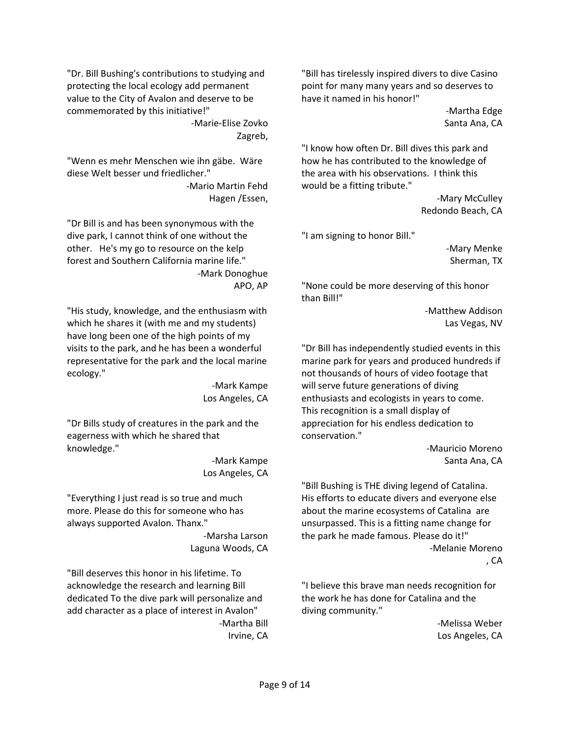"Dr. Bill Bushing's contributions to studying and protecting the local ecology add permanent value to the City of Avalon and deserve to be commemorated by this initiative!"

> ‐Marie‐Elise Zovko Zagreb,

"Wenn es mehr Menschen wie ihn gäbe. Wäre diese Welt besser und friedlicher."

> ‐Mario Martin Fehd Hagen /Essen,

"Dr Bill is and has been synonymous with the dive park, I cannot think of one without the other. He's my go to resource on the kelp forest and Southern California marine life." ‐Mark Donoghue APO, AP

"His study, knowledge, and the enthusiasm with which he shares it (with me and my students) have long been one of the high points of my visits to the park, and he has been a wonderful representative for the park and the local marine ecology."

> ‐Mark Kampe Los Angeles, CA

"Dr Bills study of creatures in the park and the eagerness with which he shared that knowledge."

> ‐Mark Kampe Los Angeles, CA

"Everything I just read is so true and much more. Please do this for someone who has always supported Avalon. Thanx."

> ‐Marsha Larson Laguna Woods, CA

"Bill deserves this honor in his lifetime. To acknowledge the research and learning Bill dedicated To the dive park will personalize and add character as a place of interest in Avalon" ‐Martha Bill Irvine, CA

"Bill has tirelessly inspired divers to dive Casino point for many many years and so deserves to have it named in his honor!"

> ‐Martha Edge Santa Ana, CA

"I know how often Dr. Bill dives this park and how he has contributed to the knowledge of the area with his observations. I think this would be a fitting tribute."

> ‐Mary McCulley Redondo Beach, CA

"I am signing to honor Bill."

‐Mary Menke Sherman, TX

"None could be more deserving of this honor than Bill!"

> ‐Matthew Addison Las Vegas, NV

"Dr Bill has independently studied events in this marine park for years and produced hundreds if not thousands of hours of video footage that will serve future generations of diving enthusiasts and ecologists in years to come. This recognition is a small display of appreciation for his endless dedication to conservation."

> ‐Mauricio Moreno Santa Ana, CA

"Bill Bushing is THE diving legend of Catalina. His efforts to educate divers and everyone else about the marine ecosystems of Catalina are unsurpassed. This is a fitting name change for the park he made famous. Please do it!" ‐Melanie Moreno , CA

"I believe this brave man needs recognition for the work he has done for Catalina and the diving community."

> ‐Melissa Weber Los Angeles, CA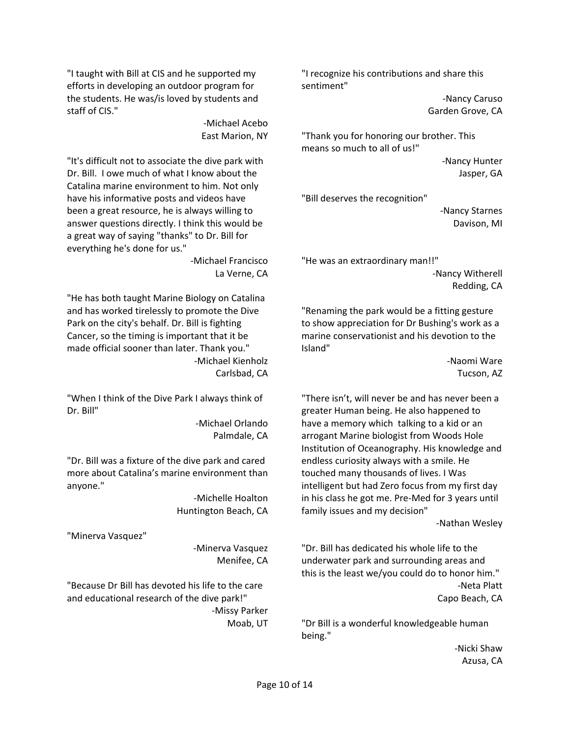"I taught with Bill at CIS and he supported my efforts in developing an outdoor program for the students. He was/is loved by students and staff of CIS."

> ‐Michael Acebo East Marion, NY

"It's difficult not to associate the dive park with Dr. Bill. I owe much of what I know about the Catalina marine environment to him. Not only have his informative posts and videos have been a great resource, he is always willing to answer questions directly. I think this would be a great way of saying "thanks" to Dr. Bill for everything he's done for us."

‐Michael Francisco La Verne, CA

"He has both taught Marine Biology on Catalina and has worked tirelessly to promote the Dive Park on the city's behalf. Dr. Bill is fighting Cancer, so the timing is important that it be made official sooner than later. Thank you." ‐Michael Kienholz Carlsbad, CA

"When I think of the Dive Park I always think of Dr. Bill"

> ‐Michael Orlando Palmdale, CA

"Dr. Bill was a fixture of the dive park and cared more about Catalina's marine environment than anyone."

> ‐Michelle Hoalton Huntington Beach, CA

"Minerva Vasquez"

‐Minerva Vasquez Menifee, CA

"Because Dr Bill has devoted his life to the care and educational research of the dive park!" ‐Missy Parker Moab, UT "I recognize his contributions and share this sentiment"

> ‐Nancy Caruso Garden Grove, CA

"Thank you for honoring our brother. This means so much to all of us!"

> ‐Nancy Hunter Jasper, GA

"Bill deserves the recognition"

‐Nancy Starnes Davison, MI

"He was an extraordinary man!!" ‐Nancy Witherell Redding, CA

"Renaming the park would be a fitting gesture to show appreciation for Dr Bushing's work as a marine conservationist and his devotion to the Island"

> ‐Naomi Ware Tucson, AZ

"There isn't, will never be and has never been a greater Human being. He also happened to have a memory which talking to a kid or an arrogant Marine biologist from Woods Hole Institution of Oceanography. His knowledge and endless curiosity always with a smile. He touched many thousands of lives. I Was intelligent but had Zero focus from my first day in his class he got me. Pre‐Med for 3 years until family issues and my decision"

‐Nathan Wesley

"Dr. Bill has dedicated his whole life to the underwater park and surrounding areas and this is the least we/you could do to honor him." ‐Neta Platt Capo Beach, CA

"Dr Bill is a wonderful knowledgeable human being."

> ‐Nicki Shaw Azusa, CA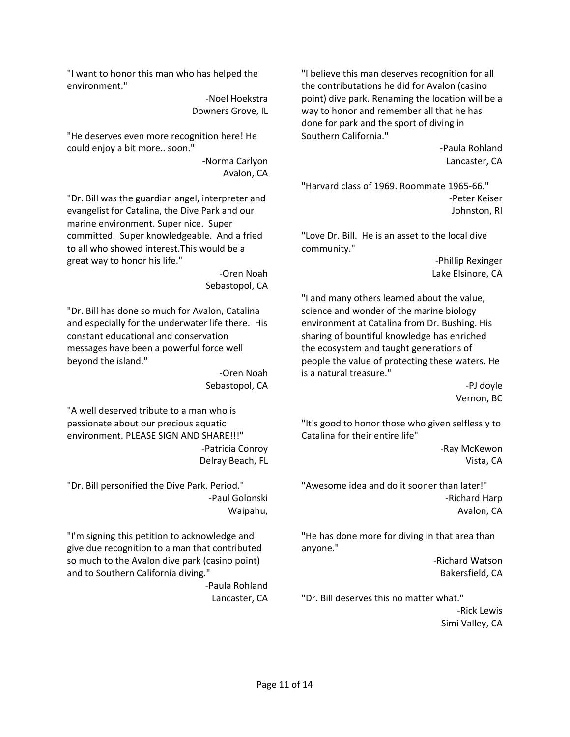"I want to honor this man who has helped the environment."

> ‐Noel Hoekstra Downers Grove, IL

"He deserves even more recognition here! He could enjoy a bit more.. soon."

> ‐Norma Carlyon Avalon, CA

"Dr. Bill was the guardian angel, interpreter and evangelist for Catalina, the Dive Park and our marine environment. Super nice. Super committed. Super knowledgeable. And a fried to all who showed interest.This would be a great way to honor his life."

> ‐Oren Noah Sebastopol, CA

"Dr. Bill has done so much for Avalon, Catalina and especially for the underwater life there. His constant educational and conservation messages have been a powerful force well beyond the island."

> ‐Oren Noah Sebastopol, CA

"A well deserved tribute to a man who is passionate about our precious aquatic environment. PLEASE SIGN AND SHARE!!!" ‐Patricia Conroy Delray Beach, FL

"Dr. Bill personified the Dive Park. Period." ‐Paul Golonski Waipahu,

"I'm signing this petition to acknowledge and give due recognition to a man that contributed so much to the Avalon dive park (casino point) and to Southern California diving."

‐Paula Rohland Lancaster, CA

"I believe this man deserves recognition for all the contributations he did for Avalon (casino point) dive park. Renaming the location will be a way to honor and remember all that he has done for park and the sport of diving in Southern California."

> ‐Paula Rohland Lancaster, CA

"Harvard class of 1969. Roommate 1965‐66." ‐Peter Keiser Johnston, RI

"Love Dr. Bill. He is an asset to the local dive community."

> ‐Phillip Rexinger Lake Elsinore, CA

"I and many others learned about the value, science and wonder of the marine biology environment at Catalina from Dr. Bushing. His sharing of bountiful knowledge has enriched the ecosystem and taught generations of people the value of protecting these waters. He is a natural treasure."

> ‐PJ doyle Vernon, BC

"It's good to honor those who given selflessly to Catalina for their entire life"

> ‐Ray McKewon Vista, CA

"Awesome idea and do it sooner than later!" ‐Richard Harp Avalon, CA

"He has done more for diving in that area than anyone."

> ‐Richard Watson Bakersfield, CA

"Dr. Bill deserves this no matter what."

‐Rick Lewis Simi Valley, CA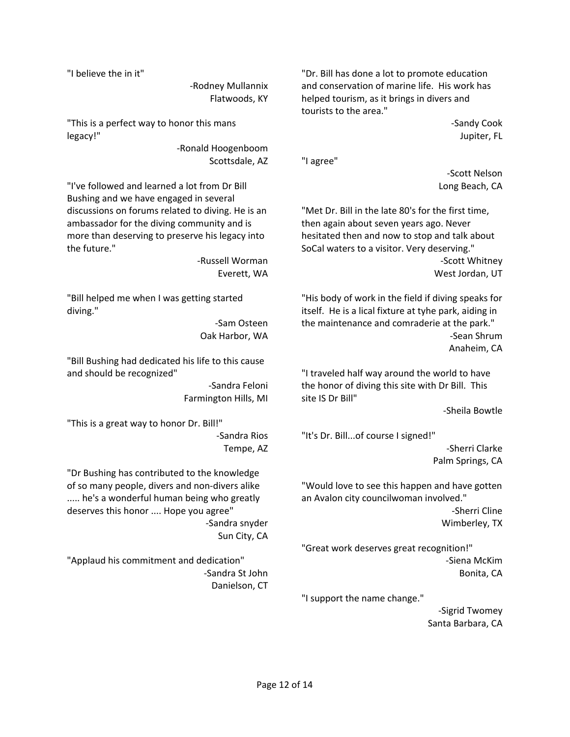"I believe the in it"

‐Rodney Mullannix Flatwoods, KY

"This is a perfect way to honor this mans legacy!"

> ‐Ronald Hoogenboom Scottsdale, AZ

"I've followed and learned a lot from Dr Bill Bushing and we have engaged in several discussions on forums related to diving. He is an ambassador for the diving community and is more than deserving to preserve his legacy into the future."

> ‐Russell Worman Everett, WA

"Bill helped me when I was getting started diving."

> ‐Sam Osteen Oak Harbor, WA

"Bill Bushing had dedicated his life to this cause and should be recognized"

> ‐Sandra Feloni Farmington Hills, MI

"This is a great way to honor Dr. Bill!" ‐Sandra Rios Tempe, AZ

"Dr Bushing has contributed to the knowledge of so many people, divers and non‐divers alike ..... he's a wonderful human being who greatly deserves this honor .... Hope you agree" ‐Sandra snyder Sun City, CA

"Applaud his commitment and dedication" ‐Sandra St John Danielson, CT

"Dr. Bill has done a lot to promote education and conservation of marine life. His work has helped tourism, as it brings in divers and tourists to the area."

> ‐Sandy Cook Jupiter, FL

"I agree"

‐Scott Nelson Long Beach, CA

"Met Dr. Bill in the late 80's for the first time, then again about seven years ago. Never hesitated then and now to stop and talk about SoCal waters to a visitor. Very deserving." ‐Scott Whitney West Jordan, UT

"His body of work in the field if diving speaks for itself. He is a lical fixture at tyhe park, aiding in the maintenance and comraderie at the park." ‐Sean Shrum Anaheim, CA

"I traveled half way around the world to have the honor of diving this site with Dr Bill. This site IS Dr Bill"

‐Sheila Bowtle

"It's Dr. Bill...of course I signed!" ‐Sherri Clarke Palm Springs, CA

"Would love to see this happen and have gotten an Avalon city councilwoman involved."

> ‐Sherri Cline Wimberley, TX

"Great work deserves great recognition!" ‐Siena McKim Bonita, CA

"I support the name change."

‐Sigrid Twomey Santa Barbara, CA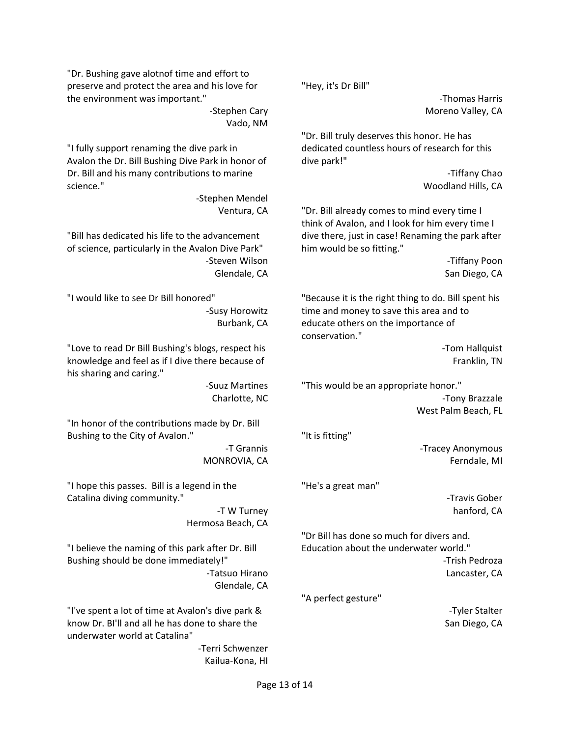"Dr. Bushing gave alotnof time and effort to preserve and protect the area and his love for the environment was important."

> ‐Stephen Cary Vado, NM

"I fully support renaming the dive park in Avalon the Dr. Bill Bushing Dive Park in honor of Dr. Bill and his many contributions to marine science."

> ‐Stephen Mendel Ventura, CA

"Bill has dedicated his life to the advancement of science, particularly in the Avalon Dive Park" ‐Steven Wilson Glendale, CA

"I would like to see Dr Bill honored" ‐Susy Horowitz Burbank, CA

"Love to read Dr Bill Bushing's blogs, respect his knowledge and feel as if I dive there because of his sharing and caring."

> ‐Suuz Martines Charlotte, NC

"In honor of the contributions made by Dr. Bill Bushing to the City of Avalon."

> ‐T Grannis MONROVIA, CA

"I hope this passes. Bill is a legend in the Catalina diving community."

> ‐T W Turney Hermosa Beach, CA

"I believe the naming of this park after Dr. Bill Bushing should be done immediately!" ‐Tatsuo Hirano Glendale, CA

"I've spent a lot of time at Avalon's dive park & know Dr. BI'll and all he has done to share the underwater world at Catalina"

> ‐Terri Schwenzer Kailua‐Kona, HI

"Hey, it's Dr Bill"

‐Thomas Harris Moreno Valley, CA

"Dr. Bill truly deserves this honor. He has dedicated countless hours of research for this dive park!"

> ‐Tiffany Chao Woodland Hills, CA

"Dr. Bill already comes to mind every time I think of Avalon, and I look for him every time I dive there, just in case! Renaming the park after him would be so fitting."

> ‐Tiffany Poon San Diego, CA

"Because it is the right thing to do. Bill spent his time and money to save this area and to educate others on the importance of conservation."

> ‐Tom Hallquist Franklin, TN

"This would be an appropriate honor." ‐Tony Brazzale West Palm Beach, FL

"It is fitting"

‐Tracey Anonymous Ferndale, MI

"He's a great man"

‐Travis Gober hanford, CA

"Dr Bill has done so much for divers and. Education about the underwater world."

> ‐Trish Pedroza Lancaster, CA

"A perfect gesture"

‐Tyler Stalter San Diego, CA